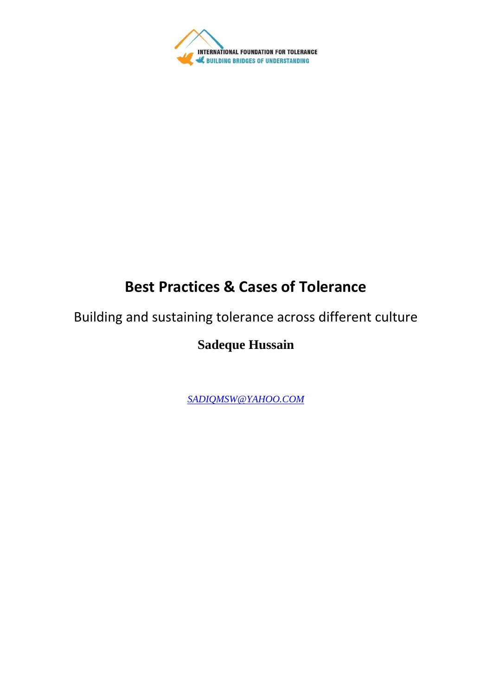

# **Best Practices & Cases of Tolerance**

## Building and sustaining tolerance across different culture

# **Sadeque Hussain**

*[SADIQMSW@YAHOO.COM](mailto:SADIQMSW@YAHOO.COM)*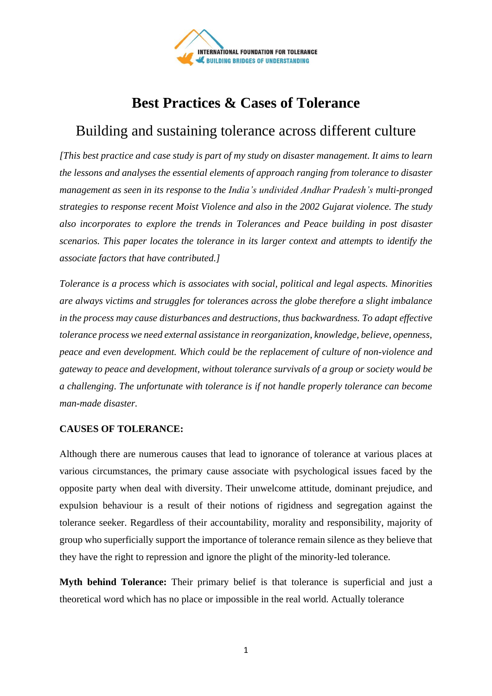

## **Best Practices & Cases of Tolerance**

### Building and sustaining tolerance across different culture

*[This best practice and case study is part of my study on disaster management. It aims to learn the lessons and analyses the essential elements of approach ranging from tolerance to disaster management as seen in its response to the India's undivided Andhar Pradesh's multi-pronged strategies to response recent Moist Violence and also in the 2002 Gujarat violence. The study also incorporates to explore the trends in Tolerances and Peace building in post disaster scenarios. This paper locates the tolerance in its larger context and attempts to identify the associate factors that have contributed.]*

*Tolerance is a process which is associates with social, political and legal aspects. Minorities are always victims and struggles for tolerances across the globe therefore a slight imbalance in the process may cause disturbances and destructions, thus backwardness. To adapt effective tolerance process we need external assistance in reorganization, knowledge, believe, openness, peace and even development. Which could be the replacement of culture of non-violence and gateway to peace and development, without tolerance survivals of a group or society would be a challenging*. *The unfortunate with tolerance is if not handle properly tolerance can become man-made disaster.* 

#### **CAUSES OF TOLERANCE:**

Although there are numerous causes that lead to ignorance of tolerance at various places at various circumstances, the primary cause associate with psychological issues faced by the opposite party when deal with diversity. Their unwelcome attitude, dominant prejudice, and expulsion behaviour is a result of their notions of rigidness and segregation against the tolerance seeker. Regardless of their accountability, morality and responsibility, majority of group who superficially support the importance of tolerance remain silence as they believe that they have the right to repression and ignore the plight of the minority-led tolerance.

**Myth behind Tolerance:** Their primary belief is that tolerance is superficial and just a theoretical word which has no place or impossible in the real world. Actually tolerance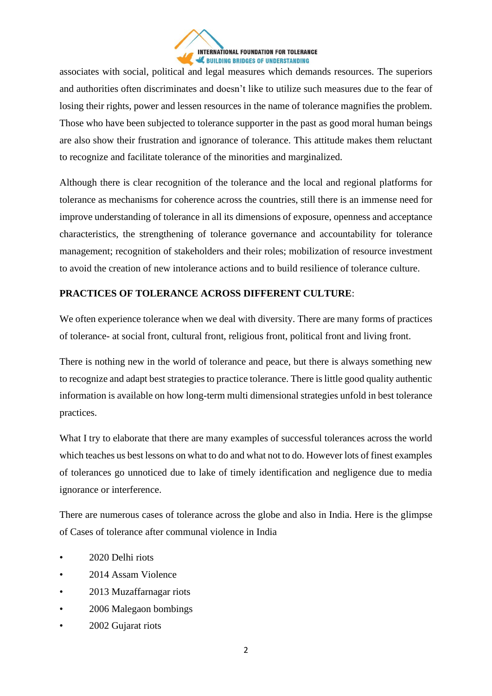

associates with social, political and legal measures which demands resources. The superiors and authorities often discriminates and doesn't like to utilize such measures due to the fear of losing their rights, power and lessen resources in the name of tolerance magnifies the problem. Those who have been subjected to tolerance supporter in the past as good moral human beings are also show their frustration and ignorance of tolerance. This attitude makes them reluctant to recognize and facilitate tolerance of the minorities and marginalized.

Although there is clear recognition of the tolerance and the local and regional platforms for tolerance as mechanisms for coherence across the countries, still there is an immense need for improve understanding of tolerance in all its dimensions of exposure, openness and acceptance characteristics, the strengthening of tolerance governance and accountability for tolerance management; recognition of stakeholders and their roles; mobilization of resource investment to avoid the creation of new intolerance actions and to build resilience of tolerance culture.

#### **PRACTICES OF TOLERANCE ACROSS DIFFERENT CULTURE**:

We often experience tolerance when we deal with diversity. There are many forms of practices of tolerance- at social front, cultural front, religious front, political front and living front.

There is nothing new in the world of tolerance and peace, but there is always something new to recognize and adapt best strategies to practice tolerance. There is little good quality authentic information is available on how long-term multi dimensional strategies unfold in best tolerance practices.

What I try to elaborate that there are many examples of successful tolerances across the world which teaches us best lessons on what to do and what not to do. However lots of finest examples of tolerances go unnoticed due to lake of timely identification and negligence due to media ignorance or interference.

There are numerous cases of tolerance across the globe and also in India. Here is the glimpse of Cases of tolerance after communal violence in India

- 2020 Delhi riots
- 2014 Assam Violence
- 2013 Muzaffarnagar riots
- 2006 Malegaon bombings
- 2002 Gujarat riots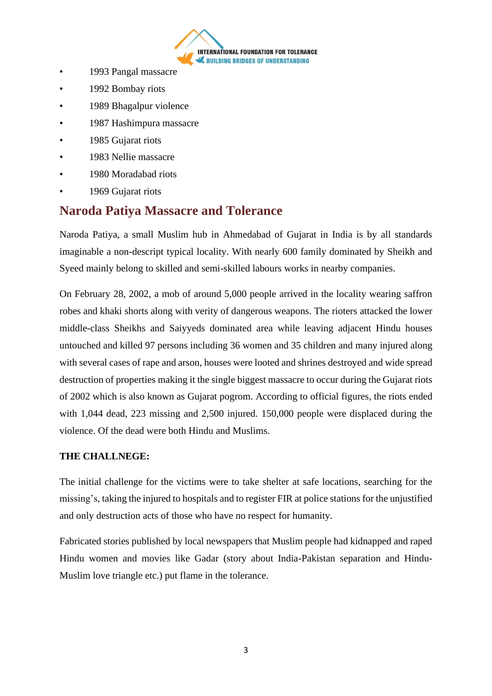

- 1993 Pangal massacre
- 1992 Bombay riots
- 1989 Bhagalpur violence
- 1987 Hashimpura massacre
- 1985 Gujarat riots
- 1983 Nellie massacre
- 1980 Moradabad riots
- 1969 Gujarat riots

### **Naroda Patiya Massacre and Tolerance**

Naroda Patiya, a small Muslim hub in Ahmedabad of Gujarat in India is by all standards imaginable a non-descript typical locality. With nearly 600 family dominated by Sheikh and Syeed mainly belong to skilled and semi-skilled labours works in nearby companies.

On February 28, 2002, a mob of around 5,000 people arrived in the locality wearing saffron robes and khaki shorts along with verity of dangerous weapons. The rioters attacked the lower middle-class Sheikhs and Saiyyeds dominated area while leaving adjacent Hindu houses untouched and killed 97 persons including 36 women and 35 children and many injured along with several cases of rape and arson, houses were looted and shrines destroyed and wide spread destruction of properties making it the single biggest massacre to occur during the Gujarat riots of 2002 which is also known as Gujarat pogrom. According to official figures, the riots ended with 1,044 dead, 223 missing and 2,500 injured. 150,000 people were displaced during the violence. Of the dead were both Hindu and Muslims.

#### **THE CHALLNEGE:**

The initial challenge for the victims were to take shelter at safe locations, searching for the missing's, taking the injured to hospitals and to register FIR at police stations for the unjustified and only destruction acts of those who have no respect for humanity.

Fabricated stories published by local newspapers that Muslim people had kidnapped and raped Hindu women and movies like Gadar (story about India-Pakistan separation and Hindu-Muslim love triangle etc.) put flame in the tolerance.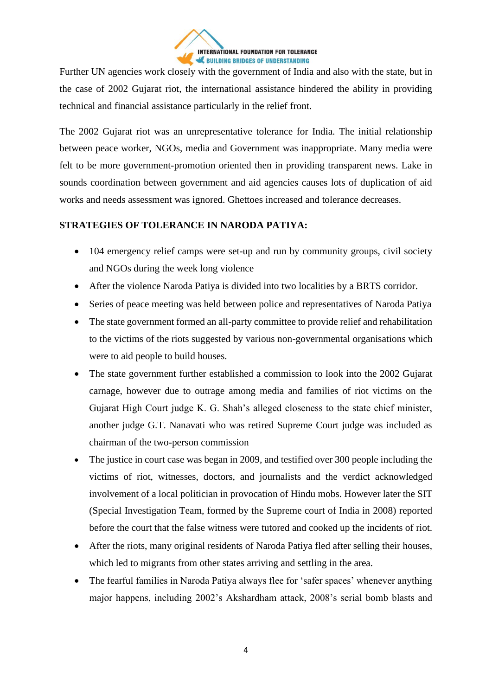

Further UN agencies work closely with the government of India and also with the state, but in the case of 2002 Gujarat riot, the international assistance hindered the ability in providing technical and financial assistance particularly in the relief front.

The 2002 Gujarat riot was an unrepresentative tolerance for India. The initial relationship between peace worker, NGOs, media and Government was inappropriate. Many media were felt to be more government-promotion oriented then in providing transparent news. Lake in sounds coordination between government and aid agencies causes lots of duplication of aid works and needs assessment was ignored. Ghettoes increased and tolerance decreases.

#### **STRATEGIES OF TOLERANCE IN NARODA PATIYA:**

- 104 emergency relief camps were set-up and run by community groups, civil society and NGOs during the week long violence
- After the violence Naroda Patiya is divided into two localities by a BRTS corridor.
- Series of peace meeting was held between police and representatives of Naroda Patiya
- The state government formed an all-party committee to provide relief and rehabilitation to the victims of the riots suggested by various non-governmental organisations which were to aid people to build houses.
- The state government further established a commission to look into the 2002 Gujarat carnage, however due to outrage among media and families of riot victims on the Gujarat High Court judge K. G. Shah's alleged closeness to the state chief minister, another judge G.T. Nanavati who was retired Supreme Court judge was included as chairman of the two-person commission
- The justice in court case was began in 2009, and testified over 300 people including the victims of riot, witnesses, doctors, and journalists and the verdict acknowledged involvement of a local politician in provocation of Hindu mobs. However later the SIT (Special Investigation Team, formed by the Supreme court of India in 2008) reported before the court that the false witness were tutored and cooked up the incidents of riot.
- After the riots, many original residents of Naroda Patiya fled after selling their houses, which led to migrants from other states arriving and settling in the area.
- The fearful families in Naroda Patiya always flee for 'safer spaces' whenever anything major happens, including 2002's Akshardham attack, 2008's serial bomb blasts and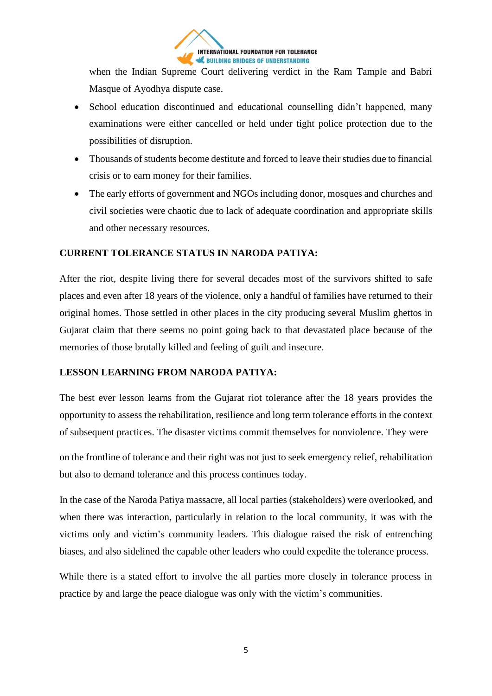

when the Indian Supreme Court delivering verdict in the Ram Tample and Babri Masque of Ayodhya dispute case.

- School education discontinued and educational counselling didn't happened, many examinations were either cancelled or held under tight police protection due to the possibilities of disruption.
- Thousands of students become destitute and forced to leave their studies due to financial crisis or to earn money for their families.
- The early efforts of government and NGOs including donor, mosques and churches and civil societies were chaotic due to lack of adequate coordination and appropriate skills and other necessary resources.

#### **CURRENT TOLERANCE STATUS IN NARODA PATIYA:**

After the riot, despite living there for several decades most of the survivors shifted to safe places and even after 18 years of the violence, only a handful of families have returned to their original homes. Those settled in other places in the city producing several Muslim ghettos in Gujarat claim that there seems no point going back to that devastated place because of the memories of those brutally killed and feeling of guilt and insecure.

#### **LESSON LEARNING FROM NARODA PATIYA:**

The best ever lesson learns from the Gujarat riot tolerance after the 18 years provides the opportunity to assess the rehabilitation, resilience and long term tolerance efforts in the context of subsequent practices. The disaster victims commit themselves for nonviolence. They were

on the frontline of tolerance and their right was not just to seek emergency relief, rehabilitation but also to demand tolerance and this process continues today.

In the case of the Naroda Patiya massacre, all local parties (stakeholders) were overlooked, and when there was interaction, particularly in relation to the local community, it was with the victims only and victim's community leaders. This dialogue raised the risk of entrenching biases, and also sidelined the capable other leaders who could expedite the tolerance process.

While there is a stated effort to involve the all parties more closely in tolerance process in practice by and large the peace dialogue was only with the victim's communities.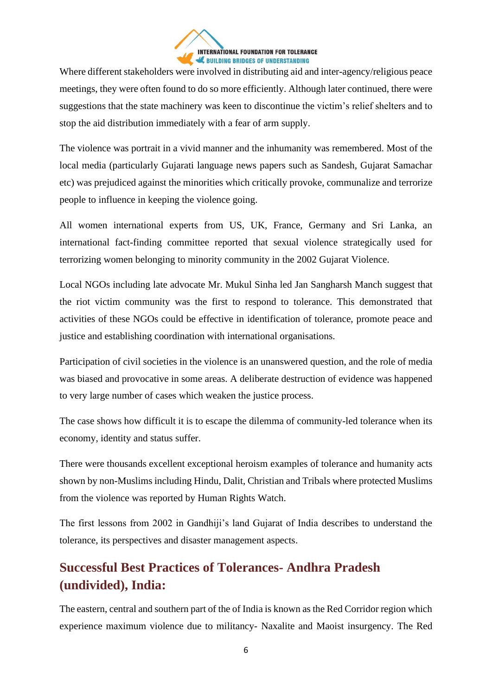

Where different stakeholders were involved in distributing aid and inter-agency/religious peace meetings, they were often found to do so more efficiently. Although later continued, there were suggestions that the state machinery was keen to discontinue the victim's relief shelters and to stop the aid distribution immediately with a fear of arm supply.

The violence was portrait in a vivid manner and the inhumanity was remembered. Most of the local media (particularly Gujarati language news papers such as Sandesh, Gujarat Samachar etc) was prejudiced against the minorities which critically provoke, communalize and terrorize people to influence in keeping the violence going.

All women international experts from US, UK, France, Germany and Sri Lanka, an international fact-finding committee reported that sexual violence strategically used for terrorizing women belonging to minority community in the 2002 Gujarat Violence.

Local NGOs including late advocate Mr. Mukul Sinha led Jan Sangharsh Manch suggest that the riot victim community was the first to respond to tolerance. This demonstrated that activities of these NGOs could be effective in identification of tolerance, promote peace and justice and establishing coordination with international organisations.

Participation of civil societies in the violence is an unanswered question, and the role of media was biased and provocative in some areas. A deliberate destruction of evidence was happened to very large number of cases which weaken the justice process.

The case shows how difficult it is to escape the dilemma of community-led tolerance when its economy, identity and status suffer.

There were thousands excellent exceptional heroism examples of tolerance and humanity acts shown by non-Muslims including Hindu, Dalit, Christian and Tribals where protected Muslims from the violence was reported by Human Rights Watch.

The first lessons from 2002 in Gandhiji's land Gujarat of India describes to understand the tolerance, its perspectives and disaster management aspects.

### **Successful Best Practices of Tolerances- Andhra Pradesh (undivided), India:**

The eastern, central and southern part of the of India is known as the Red Corridor region which experience maximum violence due to militancy- Naxalite and Maoist insurgency. The Red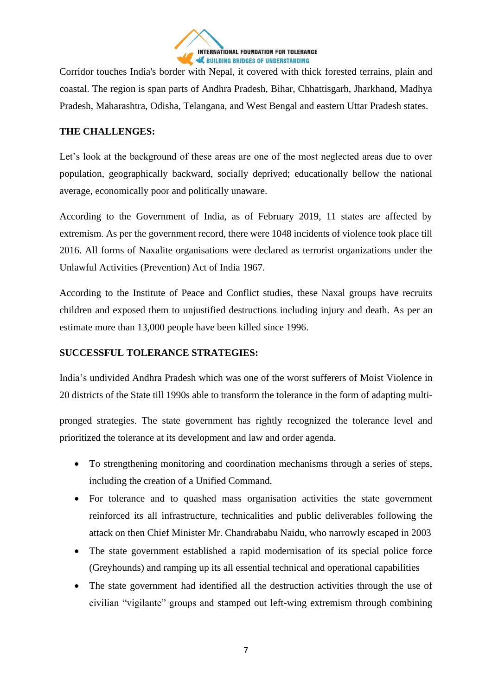

Corridor touches India's border with Nepal, it covered with thick forested terrains, plain and coastal. The region is span parts of Andhra Pradesh, Bihar, Chhattisgarh, Jharkhand, Madhya Pradesh, Maharashtra, Odisha, Telangana, and West Bengal and eastern Uttar Pradesh states.

#### **THE CHALLENGES:**

Let's look at the background of these areas are one of the most neglected areas due to over population, geographically backward, socially deprived; educationally bellow the national average, economically poor and politically unaware.

According to the Government of India, as of February 2019, 11 states are affected by extremism. As per the government record, there were 1048 incidents of violence took place till 2016. All forms of Naxalite organisations were declared as terrorist organizations under the Unlawful Activities (Prevention) Act of India 1967.

According to the Institute of Peace and Conflict studies, these Naxal groups have recruits children and exposed them to unjustified destructions including injury and death. As per an estimate more than 13,000 people have been killed since 1996.

#### **SUCCESSFUL TOLERANCE STRATEGIES:**

India's undivided Andhra Pradesh which was one of the worst sufferers of Moist Violence in 20 districts of the State till 1990s able to transform the tolerance in the form of adapting multi-

pronged strategies. The state government has rightly recognized the tolerance level and prioritized the tolerance at its development and law and order agenda.

- To strengthening monitoring and coordination mechanisms through a series of steps, including the creation of a Unified Command.
- For tolerance and to quashed mass organisation activities the state government reinforced its all infrastructure, technicalities and public deliverables following the attack on then Chief Minister Mr. Chandrababu Naidu, who narrowly escaped in 2003
- The state government established a rapid modernisation of its special police force (Greyhounds) and ramping up its all essential technical and operational capabilities
- The state government had identified all the destruction activities through the use of civilian "vigilante" groups and stamped out left-wing extremism through combining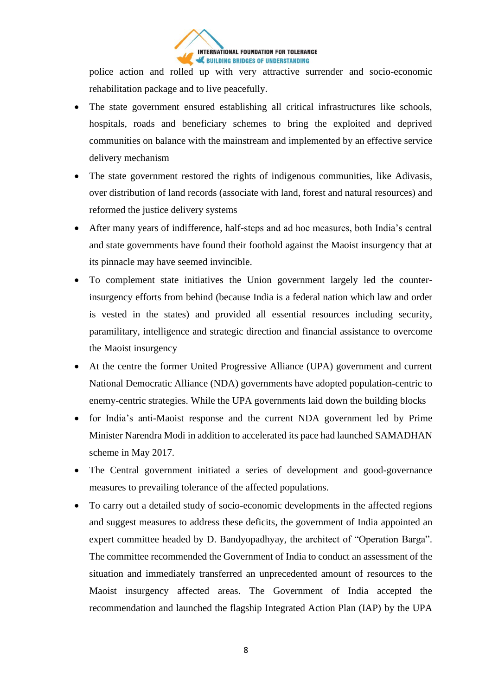

police action and rolled up with very attractive surrender and socio-economic rehabilitation package and to live peacefully.

- The state government ensured establishing all critical infrastructures like schools, hospitals, roads and beneficiary schemes to bring the exploited and deprived communities on balance with the mainstream and implemented by an effective service delivery mechanism
- The state government restored the rights of indigenous communities, like Adivasis, over distribution of land records (associate with land, forest and natural resources) and reformed the justice delivery systems
- After many years of indifference, half-steps and ad hoc measures, both India's central and state governments have found their foothold against the Maoist insurgency that at its pinnacle may have seemed invincible.
- To complement state initiatives the Union government largely led the counterinsurgency efforts from behind (because India is a federal nation which law and order is vested in the states) and provided all essential resources including security, paramilitary, intelligence and strategic direction and financial assistance to overcome the Maoist insurgency
- At the centre the former United Progressive Alliance (UPA) government and current National Democratic Alliance (NDA) governments have adopted population-centric to enemy-centric strategies. While the UPA governments laid down the building blocks
- for India's anti-Maoist response and the current NDA government led by Prime Minister Narendra Modi in addition to accelerated its pace had launched SAMADHAN scheme in May 2017.
- The Central government initiated a series of development and good-governance measures to prevailing tolerance of the affected populations.
- To carry out a detailed study of socio-economic developments in the affected regions and suggest measures to address these deficits, the government of India appointed an expert committee headed by D. Bandyopadhyay, the architect of "Operation Barga". The committee recommended the Government of India to conduct an assessment of the situation and immediately transferred an unprecedented amount of resources to the Maoist insurgency affected areas. The Government of India accepted the recommendation and launched the flagship Integrated Action Plan (IAP) by the UPA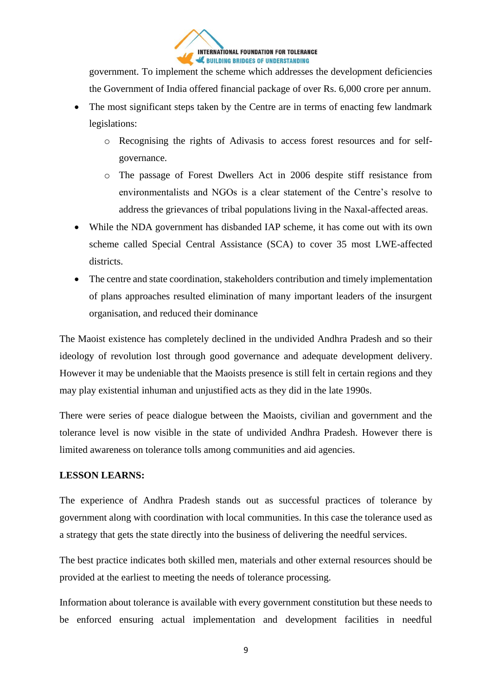

government. To implement the scheme which addresses the development deficiencies the Government of India offered financial package of over Rs. 6,000 crore per annum.

- The most significant steps taken by the Centre are in terms of enacting few landmark legislations:
	- o Recognising the rights of Adivasis to access forest resources and for selfgovernance.
	- o The passage of Forest Dwellers Act in 2006 despite stiff resistance from environmentalists and NGOs is a clear statement of the Centre's resolve to address the grievances of tribal populations living in the Naxal-affected areas.
- While the NDA government has disbanded IAP scheme, it has come out with its own scheme called Special Central Assistance (SCA) to cover 35 most LWE-affected districts.
- The centre and state coordination, stakeholders contribution and timely implementation of plans approaches resulted elimination of many important leaders of the insurgent organisation, and reduced their dominance

The Maoist existence has completely declined in the undivided Andhra Pradesh and so their ideology of revolution lost through good governance and adequate development delivery. However it may be undeniable that the Maoists presence is still felt in certain regions and they may play existential inhuman and unjustified acts as they did in the late 1990s.

There were series of peace dialogue between the Maoists, civilian and government and the tolerance level is now visible in the state of undivided Andhra Pradesh. However there is limited awareness on tolerance tolls among communities and aid agencies.

#### **LESSON LEARNS:**

The experience of Andhra Pradesh stands out as successful practices of tolerance by government along with coordination with local communities. In this case the tolerance used as a strategy that gets the state directly into the business of delivering the needful services.

The best practice indicates both skilled men, materials and other external resources should be provided at the earliest to meeting the needs of tolerance processing.

Information about tolerance is available with every government constitution but these needs to be enforced ensuring actual implementation and development facilities in needful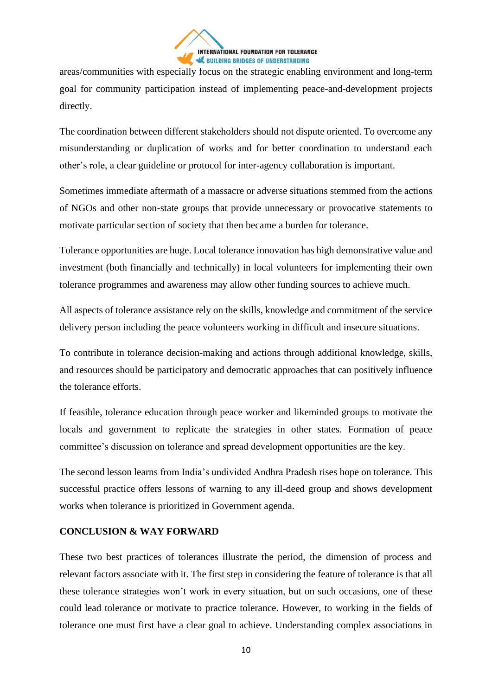

areas/communities with especially focus on the strategic enabling environment and long-term goal for community participation instead of implementing peace-and-development projects directly.

The coordination between different stakeholders should not dispute oriented. To overcome any misunderstanding or duplication of works and for better coordination to understand each other's role, a clear guideline or protocol for inter-agency collaboration is important.

Sometimes immediate aftermath of a massacre or adverse situations stemmed from the actions of NGOs and other non-state groups that provide unnecessary or provocative statements to motivate particular section of society that then became a burden for tolerance.

Tolerance opportunities are huge. Local tolerance innovation has high demonstrative value and investment (both financially and technically) in local volunteers for implementing their own tolerance programmes and awareness may allow other funding sources to achieve much.

All aspects of tolerance assistance rely on the skills, knowledge and commitment of the service delivery person including the peace volunteers working in difficult and insecure situations.

To contribute in tolerance decision-making and actions through additional knowledge, skills, and resources should be participatory and democratic approaches that can positively influence the tolerance efforts.

If feasible, tolerance education through peace worker and likeminded groups to motivate the locals and government to replicate the strategies in other states. Formation of peace committee's discussion on tolerance and spread development opportunities are the key.

The second lesson learns from India's undivided Andhra Pradesh rises hope on tolerance. This successful practice offers lessons of warning to any ill-deed group and shows development works when tolerance is prioritized in Government agenda.

#### **CONCLUSION & WAY FORWARD**

These two best practices of tolerances illustrate the period, the dimension of process and relevant factors associate with it. The first step in considering the feature of tolerance is that all these tolerance strategies won't work in every situation, but on such occasions, one of these could lead tolerance or motivate to practice tolerance. However, to working in the fields of tolerance one must first have a clear goal to achieve. Understanding complex associations in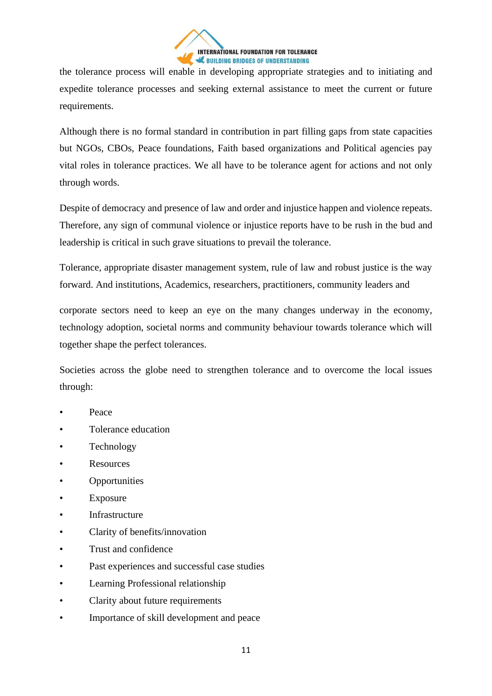

the tolerance process will enable in developing appropriate strategies and to initiating and expedite tolerance processes and seeking external assistance to meet the current or future requirements.

Although there is no formal standard in contribution in part filling gaps from state capacities but NGOs, CBOs, Peace foundations, Faith based organizations and Political agencies pay vital roles in tolerance practices. We all have to be tolerance agent for actions and not only through words.

Despite of democracy and presence of law and order and injustice happen and violence repeats. Therefore, any sign of communal violence or injustice reports have to be rush in the bud and leadership is critical in such grave situations to prevail the tolerance.

Tolerance, appropriate disaster management system, rule of law and robust justice is the way forward. And institutions, Academics, researchers, practitioners, community leaders and

corporate sectors need to keep an eye on the many changes underway in the economy, technology adoption, societal norms and community behaviour towards tolerance which will together shape the perfect tolerances.

Societies across the globe need to strengthen tolerance and to overcome the local issues through:

- Peace
- Tolerance education
- **Technology**
- **Resources**
- **Opportunities**
- Exposure
- **Infrastructure**
- Clarity of benefits/innovation
- Trust and confidence
- Past experiences and successful case studies
- Learning Professional relationship
- Clarity about future requirements
- Importance of skill development and peace